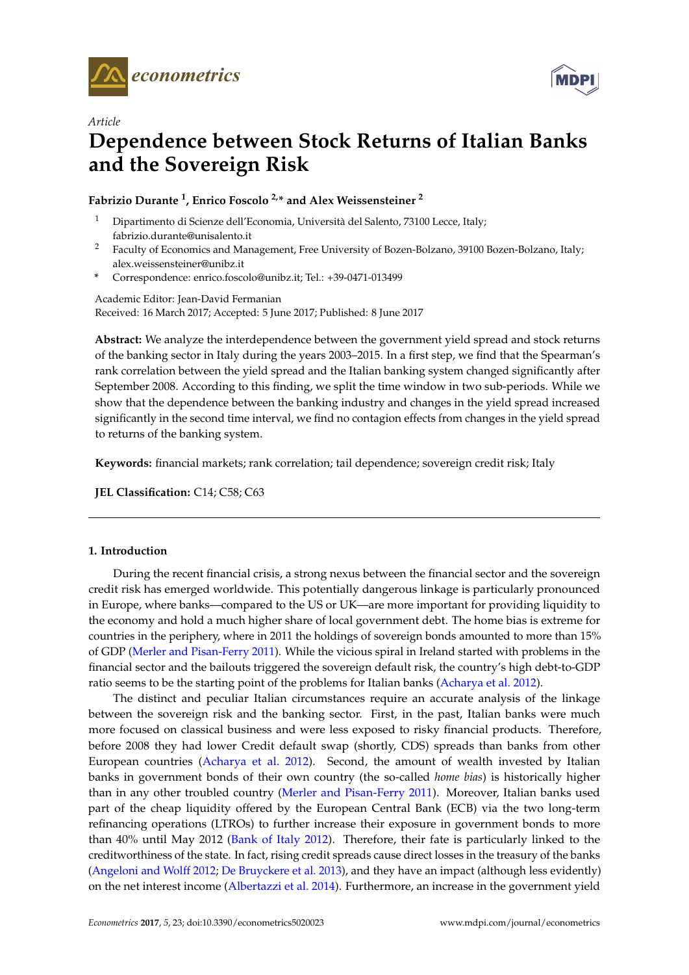

*Article*



# **Dependence between Stock Returns of Italian Banks and the Sovereign Risk**

## **Fabrizio Durante <sup>1</sup> , Enrico Foscolo 2,\* and Alex Weissensteiner <sup>2</sup>**

- <sup>1</sup> Dipartimento di Scienze dell'Economia, Università del Salento, 73100 Lecce, Italy; fabrizio.durante@unisalento.it
- <sup>2</sup> Faculty of Economics and Management, Free University of Bozen-Bolzano, 39100 Bozen-Bolzano, Italy; alex.weissensteiner@unibz.it
- **\*** Correspondence: enrico.foscolo@unibz.it; Tel.: +39-0471-013499

Academic Editor: Jean-David Fermanian Received: 16 March 2017; Accepted: 5 June 2017; Published: 8 June 2017

**Abstract:** We analyze the interdependence between the government yield spread and stock returns of the banking sector in Italy during the years 2003–2015. In a first step, we find that the Spearman's rank correlation between the yield spread and the Italian banking system changed significantly after September 2008. According to this finding, we split the time window in two sub-periods. While we show that the dependence between the banking industry and changes in the yield spread increased significantly in the second time interval, we find no contagion effects from changes in the yield spread to returns of the banking system.

**Keywords:** financial markets; rank correlation; tail dependence; sovereign credit risk; Italy

**JEL Classification:** C14; C58; C63

## **1. Introduction**

During the recent financial crisis, a strong nexus between the financial sector and the sovereign credit risk has emerged worldwide. This potentially dangerous linkage is particularly pronounced in Europe, where banks—compared to the US or UK—are more important for providing liquidity to the economy and hold a much higher share of local government debt. The home bias is extreme for countries in the periphery, where in 2011 the holdings of sovereign bonds amounted to more than 15% of GDP [\(Merler and Pisan-Ferry](#page-13-0) [2011\)](#page-13-0). While the vicious spiral in Ireland started with problems in the financial sector and the bailouts triggered the sovereign default risk, the country's high debt-to-GDP ratio seems to be the starting point of the problems for Italian banks [\(Acharya et al.](#page-12-0) [2012\)](#page-12-0).

The distinct and peculiar Italian circumstances require an accurate analysis of the linkage between the sovereign risk and the banking sector. First, in the past, Italian banks were much more focused on classical business and were less exposed to risky financial products. Therefore, before 2008 they had lower Credit default swap (shortly, CDS) spreads than banks from other European countries [\(Acharya et al.](#page-12-0) [2012\)](#page-12-0). Second, the amount of wealth invested by Italian banks in government bonds of their own country (the so-called *home bias*) is historically higher than in any other troubled country [\(Merler and Pisan-Ferry](#page-13-0) [2011\)](#page-13-0). Moreover, Italian banks used part of the cheap liquidity offered by the European Central Bank (ECB) via the two long-term refinancing operations (LTROs) to further increase their exposure in government bonds to more than 40% until May 2012 [\(Bank of Italy](#page-12-1) [2012\)](#page-12-1). Therefore, their fate is particularly linked to the creditworthiness of the state. In fact, rising credit spreads cause direct losses in the treasury of the banks [\(Angeloni and Wolff](#page-12-2) [2012;](#page-12-2) [De Bruyckere et al.](#page-12-3) [2013\)](#page-12-3), and they have an impact (although less evidently) on the net interest income [\(Albertazzi et al.](#page-12-4) [2014\)](#page-12-4). Furthermore, an increase in the government yield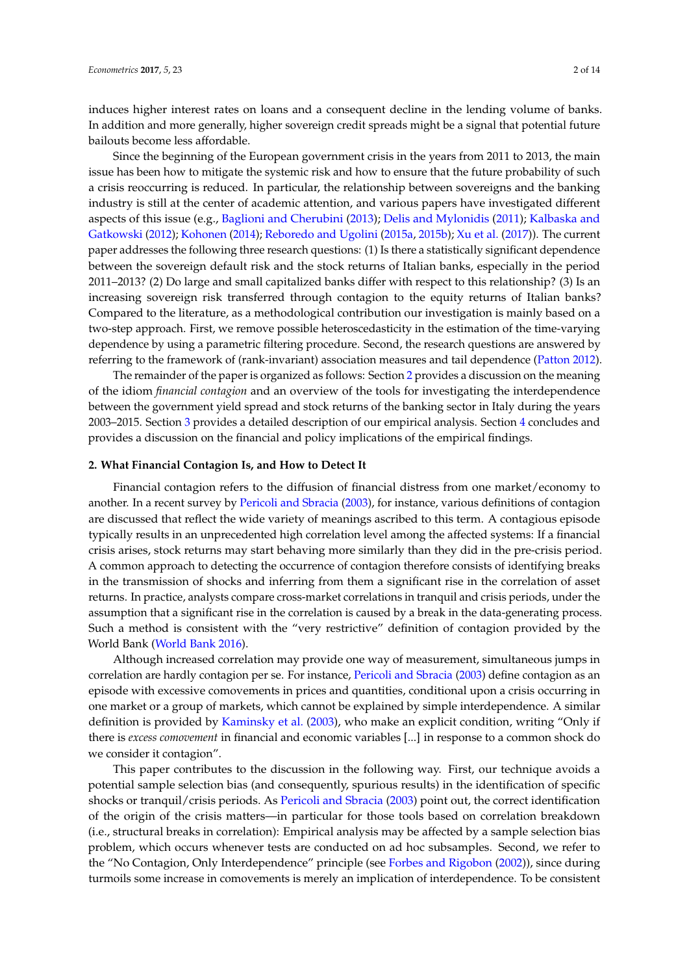induces higher interest rates on loans and a consequent decline in the lending volume of banks. In addition and more generally, higher sovereign credit spreads might be a signal that potential future bailouts become less affordable.

Since the beginning of the European government crisis in the years from 2011 to 2013, the main issue has been how to mitigate the systemic risk and how to ensure that the future probability of such a crisis reoccurring is reduced. In particular, the relationship between sovereigns and the banking industry is still at the center of academic attention, and various papers have investigated different aspects of this issue (e.g., [Baglioni and Cherubini](#page-12-5) [\(2013\)](#page-12-5); [Delis and Mylonidis](#page-12-6) [\(2011\)](#page-12-6); [Kalbaska and](#page-13-1) [Gatkowski](#page-13-1) [\(2012\)](#page-13-1); [Kohonen](#page-13-2) [\(2014\)](#page-13-2); [Reboredo and Ugolini](#page-13-3) [\(2015a,](#page-13-3) [2015b\)](#page-13-4); [Xu et al.](#page-13-5) [\(2017\)](#page-13-5)). The current paper addresses the following three research questions: (1) Is there a statistically significant dependence between the sovereign default risk and the stock returns of Italian banks, especially in the period 2011–2013? (2) Do large and small capitalized banks differ with respect to this relationship? (3) Is an increasing sovereign risk transferred through contagion to the equity returns of Italian banks? Compared to the literature, as a methodological contribution our investigation is mainly based on a two-step approach. First, we remove possible heteroscedasticity in the estimation of the time-varying dependence by using a parametric filtering procedure. Second, the research questions are answered by referring to the framework of (rank-invariant) association measures and tail dependence [\(Patton](#page-13-6) [2012\)](#page-13-6).

The remainder of the paper is organized as follows: Section [2](#page-1-0) provides a discussion on the meaning of the idiom *financial contagion* and an overview of the tools for investigating the interdependence between the government yield spread and stock returns of the banking sector in Italy during the years 2003–2015. Section [3](#page-4-0) provides a detailed description of our empirical analysis. Section [4](#page-11-0) concludes and provides a discussion on the financial and policy implications of the empirical findings.

#### <span id="page-1-0"></span>**2. What Financial Contagion Is, and How to Detect It**

Financial contagion refers to the diffusion of financial distress from one market/economy to another. In a recent survey by [Pericoli and Sbracia](#page-13-7) [\(2003\)](#page-13-7), for instance, various definitions of contagion are discussed that reflect the wide variety of meanings ascribed to this term. A contagious episode typically results in an unprecedented high correlation level among the affected systems: If a financial crisis arises, stock returns may start behaving more similarly than they did in the pre-crisis period. A common approach to detecting the occurrence of contagion therefore consists of identifying breaks in the transmission of shocks and inferring from them a significant rise in the correlation of asset returns. In practice, analysts compare cross-market correlations in tranquil and crisis periods, under the assumption that a significant rise in the correlation is caused by a break in the data-generating process. Such a method is consistent with the "very restrictive" definition of contagion provided by the World Bank [\(World Bank](#page-13-8) [2016\)](#page-13-8).

Although increased correlation may provide one way of measurement, simultaneous jumps in correlation are hardly contagion per se. For instance, [Pericoli and Sbracia](#page-13-7) [\(2003\)](#page-13-7) define contagion as an episode with excessive comovements in prices and quantities, conditional upon a crisis occurring in one market or a group of markets, which cannot be explained by simple interdependence. A similar definition is provided by [Kaminsky et al.](#page-13-9) [\(2003\)](#page-13-9), who make an explicit condition, writing "Only if there is *excess comovement* in financial and economic variables [...] in response to a common shock do we consider it contagion".

This paper contributes to the discussion in the following way. First, our technique avoids a potential sample selection bias (and consequently, spurious results) in the identification of specific shocks or tranquil/crisis periods. As [Pericoli and Sbracia](#page-13-7) [\(2003\)](#page-13-7) point out, the correct identification of the origin of the crisis matters—in particular for those tools based on correlation breakdown (i.e., structural breaks in correlation): Empirical analysis may be affected by a sample selection bias problem, which occurs whenever tests are conducted on ad hoc subsamples. Second, we refer to the "No Contagion, Only Interdependence" principle (see [Forbes and Rigobon](#page-13-10) [\(2002\)](#page-13-10)), since during turmoils some increase in comovements is merely an implication of interdependence. To be consistent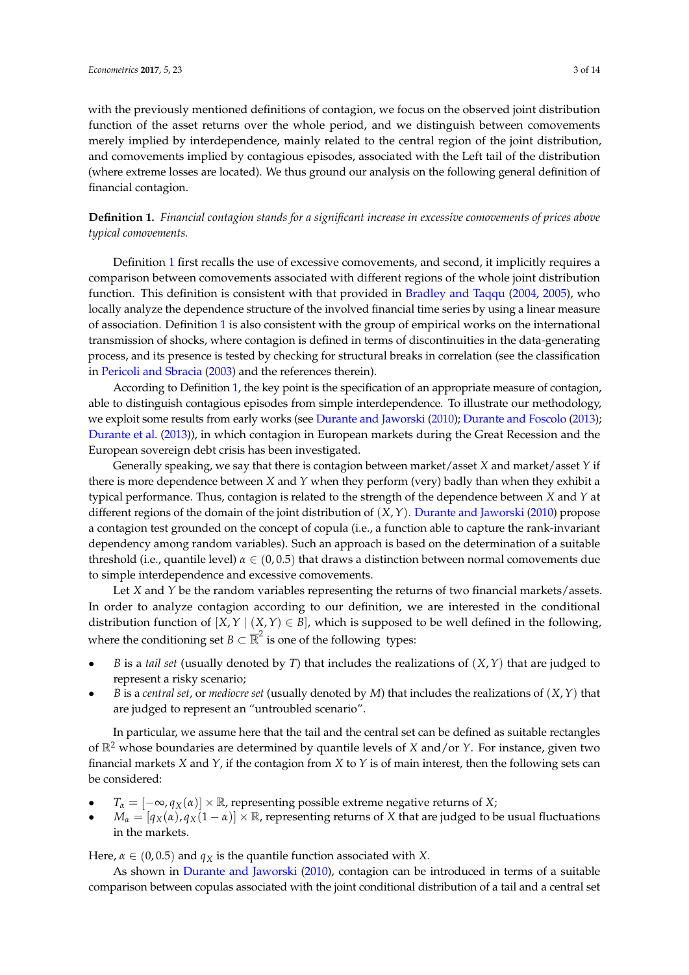with the previously mentioned definitions of contagion, we focus on the observed joint distribution function of the asset returns over the whole period, and we distinguish between comovements merely implied by interdependence, mainly related to the central region of the joint distribution, and comovements implied by contagious episodes, associated with the Left tail of the distribution (where extreme losses are located). We thus ground our analysis on the following general definition of financial contagion.

<span id="page-2-0"></span>**Definition 1.** *Financial contagion stands for a significant increase in excessive comovements of prices above typical comovements.*

Definition [1](#page-2-0) first recalls the use of excessive comovements, and second, it implicitly requires a comparison between comovements associated with different regions of the whole joint distribution function. This definition is consistent with that provided in [Bradley and Taqqu](#page-12-7) [\(2004,](#page-12-7) [2005\)](#page-12-8), who locally analyze the dependence structure of the involved financial time series by using a linear measure of association. Definition [1](#page-2-0) is also consistent with the group of empirical works on the international transmission of shocks, where contagion is defined in terms of discontinuities in the data-generating process, and its presence is tested by checking for structural breaks in correlation (see the classification in [Pericoli and Sbracia](#page-13-7) [\(2003\)](#page-13-7) and the references therein).

According to Definition [1,](#page-2-0) the key point is the specification of an appropriate measure of contagion, able to distinguish contagious episodes from simple interdependence. To illustrate our methodology, we exploit some results from early works (see [Durante and Jaworski](#page-12-9) [\(2010\)](#page-12-9); [Durante and Foscolo](#page-12-10) [\(2013\)](#page-12-10); [Durante et al.](#page-12-11) [\(2013\)](#page-12-11)), in which contagion in European markets during the Great Recession and the European sovereign debt crisis has been investigated.

Generally speaking, we say that there is contagion between market/asset *X* and market/asset *Y* if there is more dependence between *X* and *Y* when they perform (very) badly than when they exhibit a typical performance. Thus, contagion is related to the strength of the dependence between *X* and *Y* at different regions of the domain of the joint distribution of (*X*,*Y*). [Durante and Jaworski](#page-12-9) [\(2010\)](#page-12-9) propose a contagion test grounded on the concept of copula (i.e., a function able to capture the rank-invariant dependency among random variables). Such an approach is based on the determination of a suitable threshold (i.e., quantile level)  $\alpha \in (0, 0.5)$  that draws a distinction between normal comovements due to simple interdependence and excessive comovements.

Let *X* and *Y* be the random variables representing the returns of two financial markets/assets. In order to analyze contagion according to our definition, we are interested in the conditional distribution function of  $[X, Y | (X, Y) \in B]$ , which is supposed to be well defined in the following, where the conditioning set  $B \subset \overline{\mathbb{R}}^2$  is one of the following types:

- *B* is a *tail set* (usually denoted by *T*) that includes the realizations of (*X*,*Y*) that are judged to represent a risky scenario;
- *B* is a *central set*, or *mediocre set* (usually denoted by *M*) that includes the realizations of (*X*,*Y*) that are judged to represent an "untroubled scenario".

In particular, we assume here that the tail and the central set can be defined as suitable rectangles of R<sup>2</sup> whose boundaries are determined by quantile levels of *X* and/or *Y*. For instance, given two financial markets *X* and *Y*, if the contagion from *X* to *Y* is of main interest, then the following sets can be considered:

- $T_{\alpha} = [-\infty, q_X(\alpha)] \times \mathbb{R}$ , representing possible extreme negative returns of *X*;
- $M_{\alpha} = [q_X(\alpha), q_X(1-\alpha)] \times \mathbb{R}$ , representing returns of *X* that are judged to be usual fluctuations in the markets.

Here,  $\alpha \in (0, 0.5)$  and  $q_X$  is the quantile function associated with *X*.

As shown in [Durante and Jaworski](#page-12-9) [\(2010\)](#page-12-9), contagion can be introduced in terms of a suitable comparison between copulas associated with the joint conditional distribution of a tail and a central set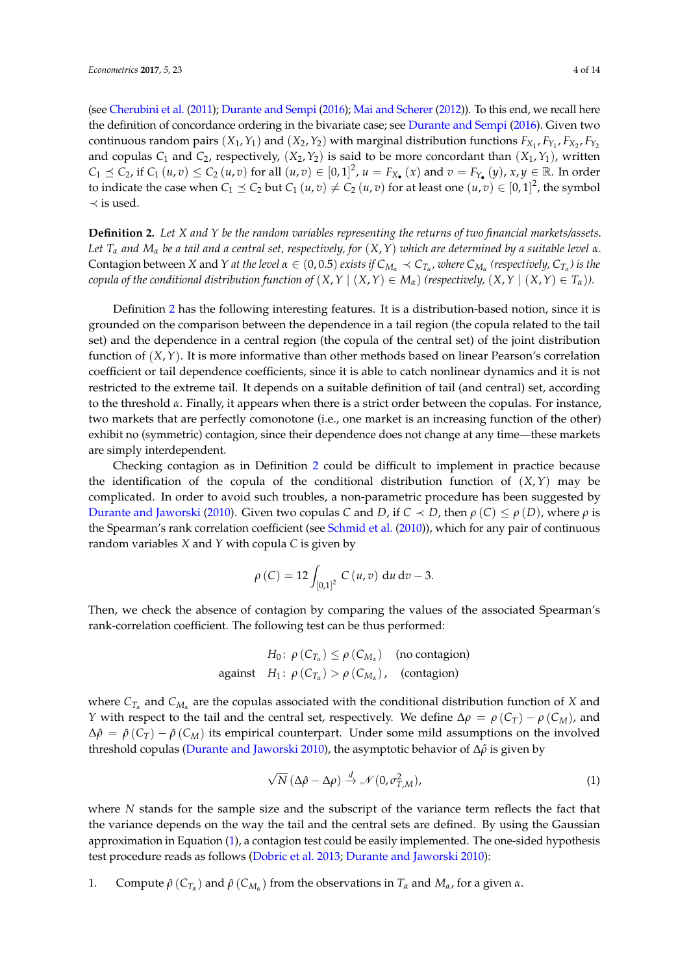(see [Cherubini et al.](#page-12-12) [\(2011\)](#page-12-12); [Durante and Sempi](#page-13-11) [\(2016\)](#page-13-11); [Mai and Scherer](#page-13-12) [\(2012\)](#page-13-12)). To this end, we recall here the definition of concordance ordering in the bivariate case; see [Durante and Sempi](#page-13-11) [\(2016\)](#page-13-11). Given two continuous random pairs  $(X_1, Y_1)$  and  $(X_2, Y_2)$  with marginal distribution functions  $F_{X_1}, F_{Y_1}, F_{X_2}, F_{Y_2}$ and copulas  $C_1$  and  $C_2$ , respectively,  $(X_2, Y_2)$  is said to be more concordant than  $(X_1, Y_1)$ , written  $C_1 \preceq C_2$ , if  $C_1(u,v) \le C_2(u,v)$  for all  $(u,v) \in [0,1]^2$ ,  $u = F_{X_{\bullet}}(x)$  and  $v = F_{Y_{\bullet}}(y)$ ,  $x, y \in \mathbb{R}$ . In order to indicate the case when  $C_1 \preceq C_2$  but  $C_1(u,v) \neq C_2(u,v)$  for at least one  $(u,v) \in [0,1]^2$ , the symbol  $\prec$  is used.

<span id="page-3-0"></span>**Definition 2.** *Let X and Y be the random variables representing the returns of two financial markets/assets. Let T<sup>α</sup> and M<sup>α</sup> be a tail and a central set, respectively, for* (*X*,*Y*) *which are determined by a suitable level α.* Contagion between X and Y at the level  $\alpha \in (0,0.5)$  exists if  $C_{M_\alpha} \prec C_{T_\alpha}$ , where  $C_{M_\alpha}$  (respectively,  $C_{T_\alpha}$ ) is the *copula of the conditional distribution function of*  $(X, Y | (X, Y) \in M_\alpha)$  *(respectively,*  $(X, Y | (X, Y) \in T_\alpha)$ *).* 

Definition [2](#page-3-0) has the following interesting features. It is a distribution-based notion, since it is grounded on the comparison between the dependence in a tail region (the copula related to the tail set) and the dependence in a central region (the copula of the central set) of the joint distribution function of (*X*,*Y*). It is more informative than other methods based on linear Pearson's correlation coefficient or tail dependence coefficients, since it is able to catch nonlinear dynamics and it is not restricted to the extreme tail. It depends on a suitable definition of tail (and central) set, according to the threshold *α*. Finally, it appears when there is a strict order between the copulas. For instance, two markets that are perfectly comonotone (i.e., one market is an increasing function of the other) exhibit no (symmetric) contagion, since their dependence does not change at any time—these markets are simply interdependent.

Checking contagion as in Definition [2](#page-3-0) could be difficult to implement in practice because the identification of the copula of the conditional distribution function of  $(X, Y)$  may be complicated. In order to avoid such troubles, a non-parametric procedure has been suggested by [Durante and Jaworski](#page-12-9) [\(2010\)](#page-12-9). Given two copulas *C* and *D*, if *C*  $\prec$  *D*, then *ρ* (*C*)  $\leq$  *ρ* (*D*), where *ρ* is the Spearman's rank correlation coefficient (see [Schmid et al.](#page-13-13) [\(2010\)](#page-13-13)), which for any pair of continuous random variables *X* and *Y* with copula *C* is given by

$$
\rho(C) = 12 \int_{[0,1]^2} C(u,v) \, \mathrm{d}u \, \mathrm{d}v - 3.
$$

Then, we check the absence of contagion by comparing the values of the associated Spearman's rank-correlation coefficient. The following test can be thus performed:

> *H*<sup>0</sup>:  $\rho$  (*C*<sub>*T*<sup>*a*</sup></sup>)  $\leq \rho$  (*C<sub>M<sup><i>a*</sub></sup>) (no contagion)</sub></sub> against  $H_1$ :  $\rho$  ( $C_{T_\alpha}$ ) >  $\rho$  ( $C_{M_\alpha}$ ), (contagion)

where  $C_{T_\alpha}$  and  $C_{M_\alpha}$  are the copulas associated with the conditional distribution function of *X* and *Y* with respect to the tail and the central set, respectively. We define  $\Delta \rho = \rho (C_T) - \rho (C_M)$ , and  $\Delta \hat{\rho} = \hat{\rho} (C_T) - \hat{\rho} (C_M)$  its empirical counterpart. Under some mild assumptions on the involved threshold copulas [\(Durante and Jaworski](#page-12-9) [2010\)](#page-12-9), the asymptotic behavior of ∆*ρ*ˆ is given by

<span id="page-3-1"></span>
$$
\sqrt{N} \left( \Delta \hat{\rho} - \Delta \rho \right) \stackrel{d}{\rightarrow} \mathcal{N} \left( 0, \sigma_{T,M}^2 \right), \tag{1}
$$

where *N* stands for the sample size and the subscript of the variance term reflects the fact that the variance depends on the way the tail and the central sets are defined. By using the Gaussian approximation in Equation [\(1\)](#page-3-1), a contagion test could be easily implemented. The one-sided hypothesis test procedure reads as follows [\(Dobric et al.](#page-12-13) [2013;](#page-12-13) [Durante and Jaworski](#page-12-9) [2010\)](#page-12-9):

1. Compute  $\hat{\rho}(C_{T_\alpha})$  and  $\hat{\rho}(C_{M_\alpha})$  from the observations in  $T_\alpha$  and  $M_\alpha$ , for a given  $\alpha$ .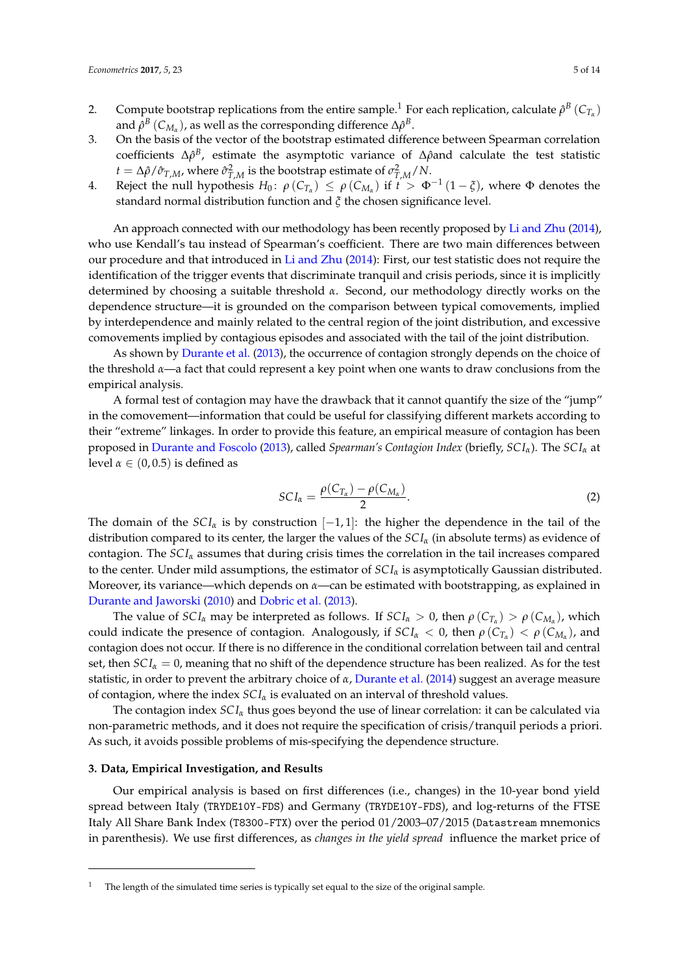- 2. Compute bootstrap replications from the entire sample.<sup>1</sup> For each replication, calculate  $ρ<sup>B</sup>(C<sub>T<sub>α</sub></sub>)$ and  $\hat{\rho}^B$  ( $C_{M_\alpha}$ ), as well as the corresponding difference  $\Delta \hat{\rho}^B$ .
- 3. On the basis of the vector of the bootstrap estimated difference between Spearman correlation coefficients Δ $\rho$ <sup>B</sup>, estimate the asymptotic variance of Δ $\rho$ and calculate the test statistic *t* = Δ $\rho$ *(* $\hat{\sigma}_{T,M}$ *, where*  $\hat{\sigma}_{T,M}^2$  *is the bootstrap estimate of*  $\sigma_{T,M}^2/N$ *.*
- 4. Reject the null hypothesis  $H_0: \rho(C_{T_\alpha}) \leq \rho(C_{M_\alpha})$  if  $t > \Phi^{-1}(1-\xi)$ , where  $\Phi$  denotes the standard normal distribution function and *ξ* the chosen significance level.

An approach connected with our methodology has been recently proposed by [Li and Zhu](#page-13-14) [\(2014\)](#page-13-14), who use Kendall's tau instead of Spearman's coefficient. There are two main differences between our procedure and that introduced in [Li and Zhu](#page-13-14) [\(2014\)](#page-13-14): First, our test statistic does not require the identification of the trigger events that discriminate tranquil and crisis periods, since it is implicitly determined by choosing a suitable threshold *α*. Second, our methodology directly works on the dependence structure—it is grounded on the comparison between typical comovements, implied by interdependence and mainly related to the central region of the joint distribution, and excessive comovements implied by contagious episodes and associated with the tail of the joint distribution.

As shown by [Durante et al.](#page-12-11) [\(2013\)](#page-12-11), the occurrence of contagion strongly depends on the choice of the threshold *α*—a fact that could represent a key point when one wants to draw conclusions from the empirical analysis.

A formal test of contagion may have the drawback that it cannot quantify the size of the "jump" in the comovement—information that could be useful for classifying different markets according to their "extreme" linkages. In order to provide this feature, an empirical measure of contagion has been proposed in [Durante and Foscolo](#page-12-10) [\(2013\)](#page-12-10), called *Spearman's Contagion Index* (briefly, *SC Iα*). The *SC I<sup>α</sup>* at level  $\alpha \in (0, 0.5)$  is defined as

$$
SCI_{\alpha} = \frac{\rho(C_{T_{\alpha}}) - \rho(C_{M_{\alpha}})}{2}.
$$
\n(2)

The domain of the  $\mathcal{S}Cl_{\alpha}$  is by construction  $[-1, 1]$ : the higher the dependence in the tail of the distribution compared to its center, the larger the values of the  $SCI_\alpha$  (in absolute terms) as evidence of contagion. The  $\mathcal{S}Cl_{\alpha}$  assumes that during crisis times the correlation in the tail increases compared to the center. Under mild assumptions, the estimator of *SC I<sup>α</sup>* is asymptotically Gaussian distributed. Moreover, its variance—which depends on *α*—can be estimated with bootstrapping, as explained in [Durante and Jaworski](#page-12-9) [\(2010\)](#page-12-9) and [Dobric et al.](#page-12-13) [\(2013\)](#page-12-13).

The value of  $SCI_\alpha$  may be interpreted as follows. If  $SCI_\alpha > 0$ , then  $\rho(C_{T_\alpha}) > \rho(C_{M_\alpha})$ , which could indicate the presence of contagion. Analogously, if  $SCI_\alpha < 0$ , then  $\rho(C_{T_\alpha}) < \rho(C_{M_\alpha})$ , and contagion does not occur. If there is no difference in the conditional correlation between tail and central set, then  $SCI<sub>\alpha</sub> = 0$ , meaning that no shift of the dependence structure has been realized. As for the test statistic, in order to prevent the arbitrary choice of *α*, [Durante et al.](#page-12-14) [\(2014\)](#page-12-14) suggest an average measure of contagion, where the index *SC I<sup>α</sup>* is evaluated on an interval of threshold values.

The contagion index *SC I<sup>α</sup>* thus goes beyond the use of linear correlation: it can be calculated via non-parametric methods, and it does not require the specification of crisis/tranquil periods a priori. As such, it avoids possible problems of mis-specifying the dependence structure.

#### <span id="page-4-0"></span>**3. Data, Empirical Investigation, and Results**

Our empirical analysis is based on first differences (i.e., changes) in the 10-year bond yield spread between Italy (TRYDE10Y-FDS) and Germany (TRYDE10Y-FDS), and log-returns of the FTSE Italy All Share Bank Index (T8300-FTX) over the period 01/2003–07/2015 (Datastream mnemonics in parenthesis). We use first differences, as *changes in the yield spread* influence the market price of

The length of the simulated time series is typically set equal to the size of the original sample.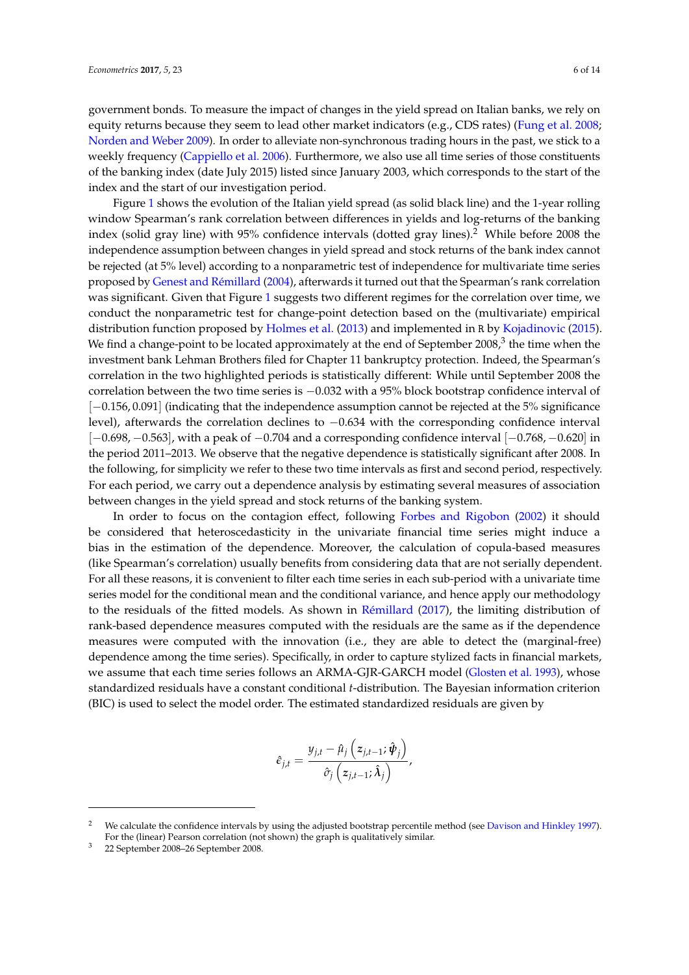government bonds. To measure the impact of changes in the yield spread on Italian banks, we rely on equity returns because they seem to lead other market indicators (e.g., CDS rates) [\(Fung et al.](#page-13-15) [2008;](#page-13-15) [Norden and Weber](#page-13-16) [2009\)](#page-13-16). In order to alleviate non-synchronous trading hours in the past, we stick to a weekly frequency [\(Cappiello et al.](#page-12-15) [2006\)](#page-12-15). Furthermore, we also use all time series of those constituents of the banking index (date July 2015) listed since January 2003, which corresponds to the start of the index and the start of our investigation period.

Figure [1](#page-6-0) shows the evolution of the Italian yield spread (as solid black line) and the 1-year rolling window Spearman's rank correlation between differences in yields and log-returns of the banking index (solid gray line) with 95% confidence intervals (dotted gray lines).<sup>2</sup> While before 2008 the independence assumption between changes in yield spread and stock returns of the bank index cannot be rejected (at 5% level) according to a nonparametric test of independence for multivariate time series proposed by [Genest and Rémillard](#page-13-17) [\(2004\)](#page-13-17), afterwards it turned out that the Spearman's rank correlation was significant. Given that Figure [1](#page-6-0) suggests two different regimes for the correlation over time, we conduct the nonparametric test for change-point detection based on the (multivariate) empirical distribution function proposed by [Holmes et al.](#page-13-18) [\(2013\)](#page-13-18) and implemented in R by [Kojadinovic](#page-13-19) [\(2015\)](#page-13-19). We find a change-point to be located approximately at the end of September 2008, $^3$  the time when the investment bank Lehman Brothers filed for Chapter 11 bankruptcy protection. Indeed, the Spearman's correlation in the two highlighted periods is statistically different: While until September 2008 the correlation between the two time series is −0.032 with a 95% block bootstrap confidence interval of [−0.156, 0.091] (indicating that the independence assumption cannot be rejected at the 5% significance level), afterwards the correlation declines to −0.634 with the corresponding confidence interval [−0.698, −0.563], with a peak of −0.704 and a corresponding confidence interval [−0.768, −0.620] in the period 2011–2013. We observe that the negative dependence is statistically significant after 2008. In the following, for simplicity we refer to these two time intervals as first and second period, respectively. For each period, we carry out a dependence analysis by estimating several measures of association between changes in the yield spread and stock returns of the banking system.

In order to focus on the contagion effect, following [Forbes and Rigobon](#page-13-10) [\(2002\)](#page-13-10) it should be considered that heteroscedasticity in the univariate financial time series might induce a bias in the estimation of the dependence. Moreover, the calculation of copula-based measures (like Spearman's correlation) usually benefits from considering data that are not serially dependent. For all these reasons, it is convenient to filter each time series in each sub-period with a univariate time series model for the conditional mean and the conditional variance, and hence apply our methodology to the residuals of the fitted models. As shown in [Rémillard](#page-13-20) [\(2017\)](#page-13-20), the limiting distribution of rank-based dependence measures computed with the residuals are the same as if the dependence measures were computed with the innovation (i.e., they are able to detect the (marginal-free) dependence among the time series). Specifically, in order to capture stylized facts in financial markets, we assume that each time series follows an ARMA-GJR-GARCH model [\(Glosten et al.](#page-13-21) [1993\)](#page-13-21), whose standardized residuals have a constant conditional *t*-distribution. The Bayesian information criterion (BIC) is used to select the model order. The estimated standardized residuals are given by

$$
\hat{e}_{j,t} = \frac{y_{j,t} - \hat{\mu}_j\left(z_{j,t-1}; \hat{\boldsymbol{\psi}}_j\right)}{\hat{\sigma}_j\left(z_{j,t-1}; \hat{\boldsymbol{\lambda}}_j\right)},
$$

<sup>2</sup> We calculate the confidence intervals by using the adjusted bootstrap percentile method (see [Davison and Hinkley](#page-12-16) [1997\)](#page-12-16). For the (linear) Pearson correlation (not shown) the graph is qualitatively similar.

<sup>3</sup> 22 September 2008–26 September 2008.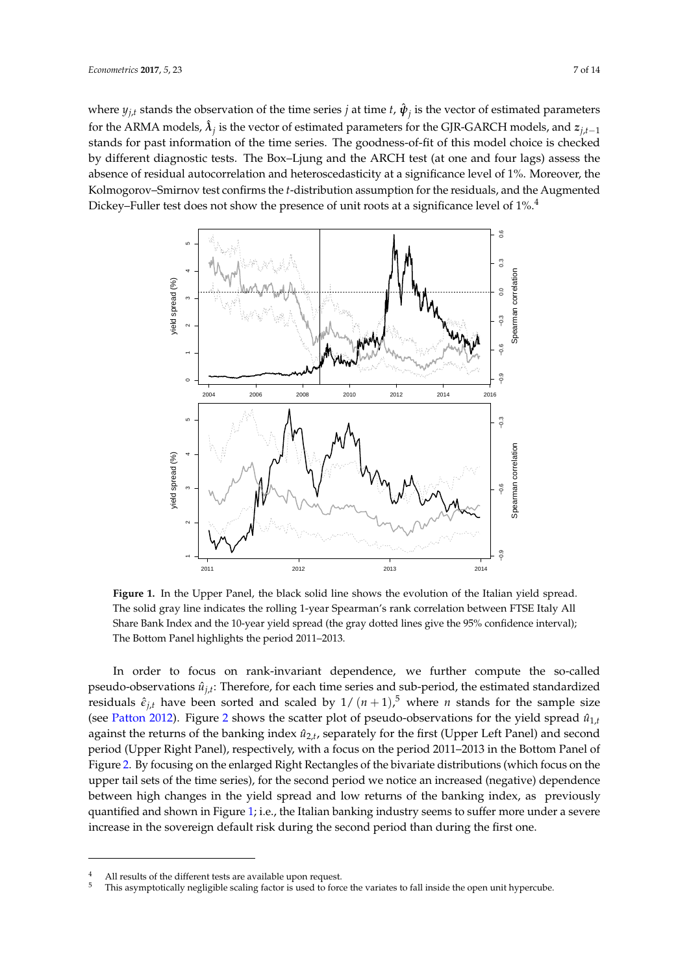where  $y_{j,t}$  stands the observation of the time series *j* at time *t*,  $\hat{\psi}_j$  is the vector of estimated parameters for the ARMA models,  $\hat{\lambda}_j$  is the vector of estimated parameters for the GJR-GARCH models, and  $z_{j,t-1}$ stands for past information of the time series. The goodness-of-fit of this model choice is checked by different diagnostic tests. The Box–Ljung and the ARCH test (at one and four lags) assess the absence of residual autocorrelation and heteroscedasticity at a significance level of 1%. Moreover, the Kolmogorov–Smirnov test confirms the *t*-distribution assumption for the residuals, and the Augmented Dickey–Fuller test does not show the presence of unit roots at a significance level of  $1\%$ .<sup>4</sup>

<span id="page-6-0"></span>

**Figure 1.** In the Upper Panel, the black solid line shows the evolution of the Italian yield spread. The solid gray line indicates the rolling 1-year Spearman's rank correlation between FTSE Italy All Share Bank Index and the 10-year yield spread (the gray dotted lines give the 95% confidence interval); The Bottom Panel highlights the period 2011–2013.

In order to focus on rank-invariant dependence, we further compute the so-called pseudo-observations  $\hat{u}_{j,t}$ : Therefore, for each time series and sub-period, the estimated standardized residuals  $\hat{\epsilon}_{j,t}$  have been sorted and scaled by  $1/(n+1)$ ,<sup>5</sup> where *n* stands for the sample size (see [Patton](#page-13-6) [2012\)](#page-13-6). Figure [2](#page-7-0) shows the scatter plot of pseudo-observations for the yield spread  $\hat{u}_{1,t}$ against the returns of the banking index  $\hat{u}_{2,t}$ , separately for the first (Upper Left Panel) and second period (Upper Right Panel), respectively, with a focus on the period 2011–2013 in the Bottom Panel of Figure [2.](#page-7-0) By focusing on the enlarged Right Rectangles of the bivariate distributions (which focus on the upper tail sets of the time series), for the second period we notice an increased (negative) dependence between high changes in the yield spread and low returns of the banking index, as previously quantified and shown in Figure [1;](#page-6-0) i.e., the Italian banking industry seems to suffer more under a severe increase in the sovereign default risk during the second period than during the first one.

<sup>&</sup>lt;sup>4</sup> All results of the different tests are available upon request.<br><sup>5</sup> This asymptotically pooligible scaling factor is used to force

This asymptotically negligible scaling factor is used to force the variates to fall inside the open unit hypercube.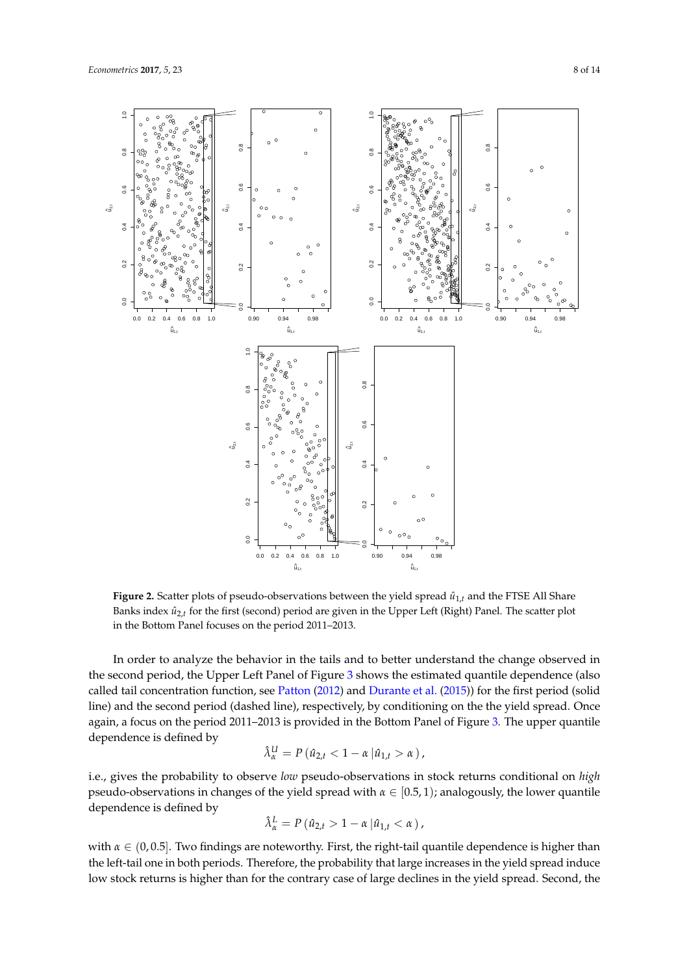<span id="page-7-0"></span>

**Figure 2.** Scatter plots of pseudo-observations between the yield spread  $\hat{u}_{1,t}$  and the FTSE All Share Banks index  $\hat{u}_{2,t}$  for the first (second) period are given in the Upper Left (Right) Panel. The scatter plot in the Bottom Panel focuses on the period 2011–2013.

In order to analyze the behavior in the tails and to better understand the change observed in the second period, the Upper Left Panel of Figure [3](#page-8-0) shows the estimated quantile dependence (also called tail concentration function, see [Patton](#page-13-6) [\(2012\)](#page-13-6) and [Durante et al.](#page-12-17) [\(2015\)](#page-12-17)) for the first period (solid line) and the second period (dashed line), respectively, by conditioning on the the yield spread. Once again, a focus on the period 2011–2013 is provided in the Bottom Panel of Figure [3.](#page-8-0) The upper quantile dependence is defined by

$$
\hat{\lambda}_{\alpha}^{U} = P(\hat{u}_{2,t} < 1 - \alpha \left| \hat{u}_{1,t} > \alpha \right),
$$

i.e., gives the probability to observe *low* pseudo-observations in stock returns conditional on *high* pseudo-observations in changes of the yield spread with *α* ∈ [0.5, 1); analogously, the lower quantile dependence is defined by

$$
\hat{\lambda}_{\alpha}^{L} = P\left(\hat{u}_{2,t} > 1 - \alpha \left|\hat{u}_{1,t} < \alpha\right.\right),\,
$$

with  $\alpha \in (0, 0.5]$ . Two findings are noteworthy. First, the right-tail quantile dependence is higher than the left-tail one in both periods. Therefore, the probability that large increases in the yield spread induce low stock returns is higher than for the contrary case of large declines in the yield spread. Second, the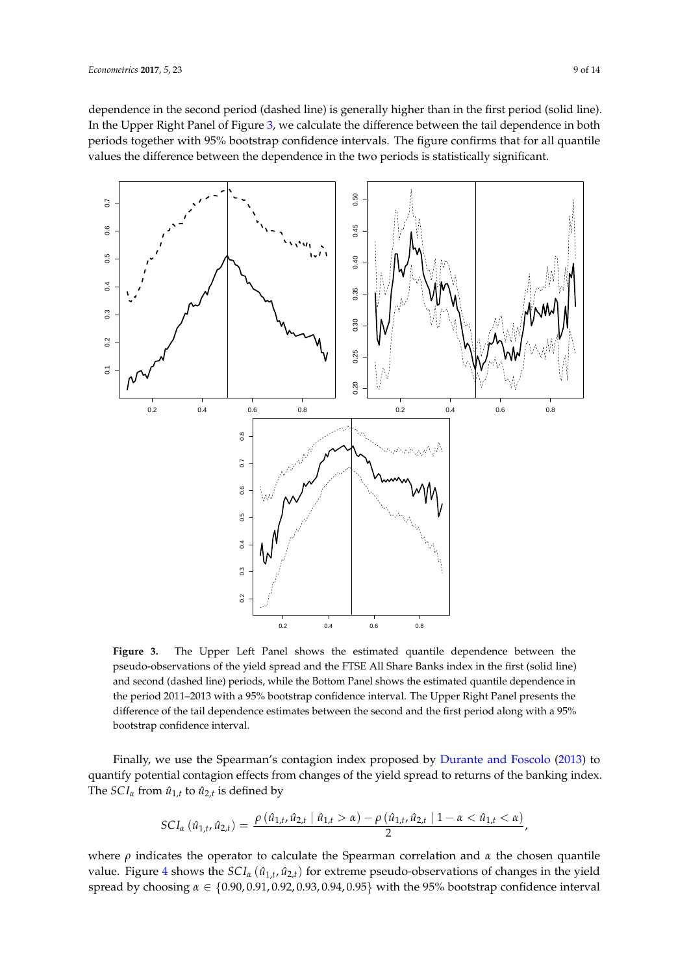dependence in the second period (dashed line) is generally higher than in the first period (solid line). In the Upper Right Panel of Figure [3,](#page-8-0) we calculate the difference between the tail dependence in both periods together with 95% bootstrap confidence intervals. The figure confirms that for all quantile values the difference between the dependence in the two periods is statistically significant.

<span id="page-8-0"></span>

**Figure 3.** The Upper Left Panel shows the estimated quantile dependence between the pseudo-observations of the yield spread and the FTSE All Share Banks index in the first (solid line) and second (dashed line) periods, while the Bottom Panel shows the estimated quantile dependence in the period 2011–2013 with a 95% bootstrap confidence interval. The Upper Right Panel presents the difference of the tail dependence estimates between the second and the first period along with a 95% bootstrap confidence interval.

Finally, we use the Spearman's contagion index proposed by [Durante and Foscolo](#page-12-10) [\(2013\)](#page-12-10) to quantify potential contagion effects from changes of the yield spread to returns of the banking index. The  $\mathcal{S}Cl_{\alpha}$  from  $\hat{u}_{1,t}$  to  $\hat{u}_{2,t}$  is defined by

$$
SCI_{\alpha}(\hat{u}_{1,t},\hat{u}_{2,t})=\frac{\rho(\hat{u}_{1,t},\hat{u}_{2,t} | \hat{u}_{1,t}>\alpha)-\rho(\hat{u}_{1,t},\hat{u}_{2,t} | 1-\alpha < \hat{u}_{1,t}<\alpha)}{2},
$$

where  $\rho$  indicates the operator to calculate the Spearman correlation and  $\alpha$  the chosen quantile *value.* Figure [4](#page-9-0) shows the  $SCI<sub>α</sub>$  ( $\hat{u}_{1,t}$ , $\hat{u}_{2,t}$ ) for extreme pseudo-observations of changes in the yield spread by choosing *α* ∈ {0.90, 0.91, 0.92, 0.93, 0.94, 0.95} with the 95% bootstrap confidence interval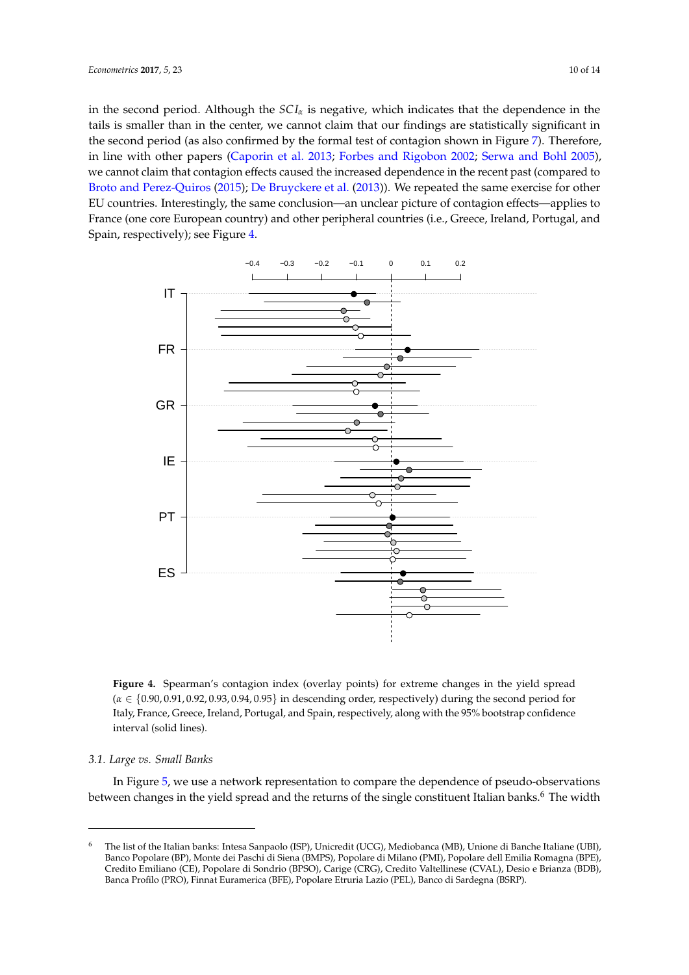in the second period. Although the *SC I<sup>α</sup>* is negative, which indicates that the dependence in the tails is smaller than in the center, we cannot claim that our findings are statistically significant in the second period (as also confirmed by the formal test of contagion shown in Figure [7\)](#page-11-1). Therefore, in line with other papers [\(Caporin et al.](#page-12-18) [2013;](#page-12-18) [Forbes and Rigobon](#page-13-10) [2002;](#page-13-10) [Serwa and Bohl](#page-13-22) [2005\)](#page-13-22), we cannot claim that contagion effects caused the increased dependence in the recent past (compared to [Broto and Perez-Quiros](#page-12-19) [\(2015\)](#page-12-19); [De Bruyckere et al.](#page-12-3) [\(2013\)](#page-12-3)). We repeated the same exercise for other EU countries. Interestingly, the same conclusion—an unclear picture of contagion effects—applies to France (one core European country) and other peripheral countries (i.e., Greece, Ireland, Portugal, and Spain, respectively); see Figure [4.](#page-9-0)

<span id="page-9-0"></span>

**Figure 4.** Spearman's contagion index (overlay points) for extreme changes in the yield spread (*α* ∈ {0.90, 0.91, 0.92, 0.93, 0.94, 0.95} in descending order, respectively) during the second period for Italy, France, Greece, Ireland, Portugal, and Spain, respectively, along with the 95% bootstrap confidence interval (solid lines).

#### *3.1. Large vs. Small Banks*

In Figure [5,](#page-10-0) we use a network representation to compare the dependence of pseudo-observations between changes in the yield spread and the returns of the single constituent Italian banks.<sup>6</sup> The width

<sup>6</sup> The list of the Italian banks: Intesa Sanpaolo (ISP), Unicredit (UCG), Mediobanca (MB), Unione di Banche Italiane (UBI), Banco Popolare (BP), Monte dei Paschi di Siena (BMPS), Popolare di Milano (PMI), Popolare dell Emilia Romagna (BPE), Credito Emiliano (CE), Popolare di Sondrio (BPSO), Carige (CRG), Credito Valtellinese (CVAL), Desio e Brianza (BDB), Banca Profilo (PRO), Finnat Euramerica (BFE), Popolare Etruria Lazio (PEL), Banco di Sardegna (BSRP).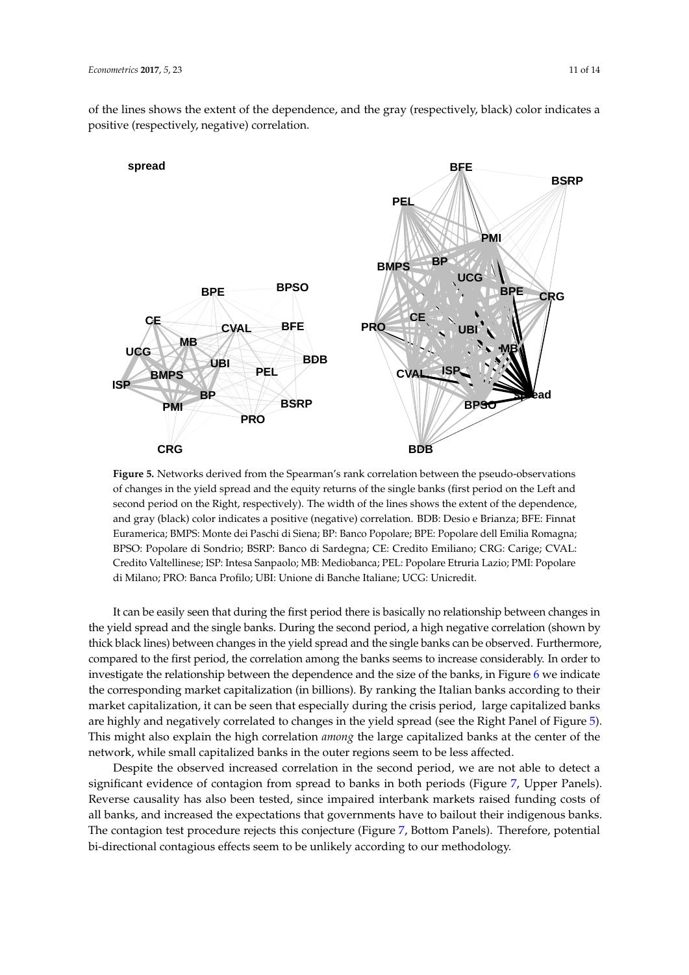of the lines shows the extent of the dependence, and the gray (respectively, black) color indicates a positive (respectively, negative) correlation.

<span id="page-10-0"></span>

**Figure 5.** Networks derived from the Spearman's rank correlation between the pseudo-observations of changes in the yield spread and the equity returns of the single banks (first period on the Left and second period on the Right, respectively). The width of the lines shows the extent of the dependence, and gray (black) color indicates a positive (negative) correlation. BDB: Desio e Brianza; BFE: Finnat Euramerica; BMPS: Monte dei Paschi di Siena; BP: Banco Popolare; BPE: Popolare dell Emilia Romagna; BPSO: Popolare di Sondrio; BSRP: Banco di Sardegna; CE: Credito Emiliano; CRG: Carige; CVAL: Credito Valtellinese; ISP: Intesa Sanpaolo; MB: Mediobanca; PEL: Popolare Etruria Lazio; PMI: Popolare di Milano; PRO: Banca Profilo; UBI: Unione di Banche Italiane; UCG: Unicredit.

It can be easily seen that during the first period there is basically no relationship between changes in the yield spread and the single banks. During the second period, a high negative correlation (shown by thick black lines) between changes in the yield spread and the single banks can be observed. Furthermore, compared to the first period, the correlation among the banks seems to increase considerably. In order to investigate the relationship between the dependence and the size of the banks, in Figure [6](#page-11-2) we indicate the corresponding market capitalization (in billions). By ranking the Italian banks according to their market capitalization, it can be seen that especially during the crisis period, large capitalized banks are highly and negatively correlated to changes in the yield spread (see the Right Panel of Figure [5\)](#page-10-0). This might also explain the high correlation *among* the large capitalized banks at the center of the network, while small capitalized banks in the outer regions seem to be less affected.

Despite the observed increased correlation in the second period, we are not able to detect a significant evidence of contagion from spread to banks in both periods (Figure [7,](#page-11-1) Upper Panels). Reverse causality has also been tested, since impaired interbank markets raised funding costs of all banks, and increased the expectations that governments have to bailout their indigenous banks. The contagion test procedure rejects this conjecture (Figure [7,](#page-11-1) Bottom Panels). Therefore, potential bi-directional contagious effects seem to be unlikely according to our methodology.

**spread**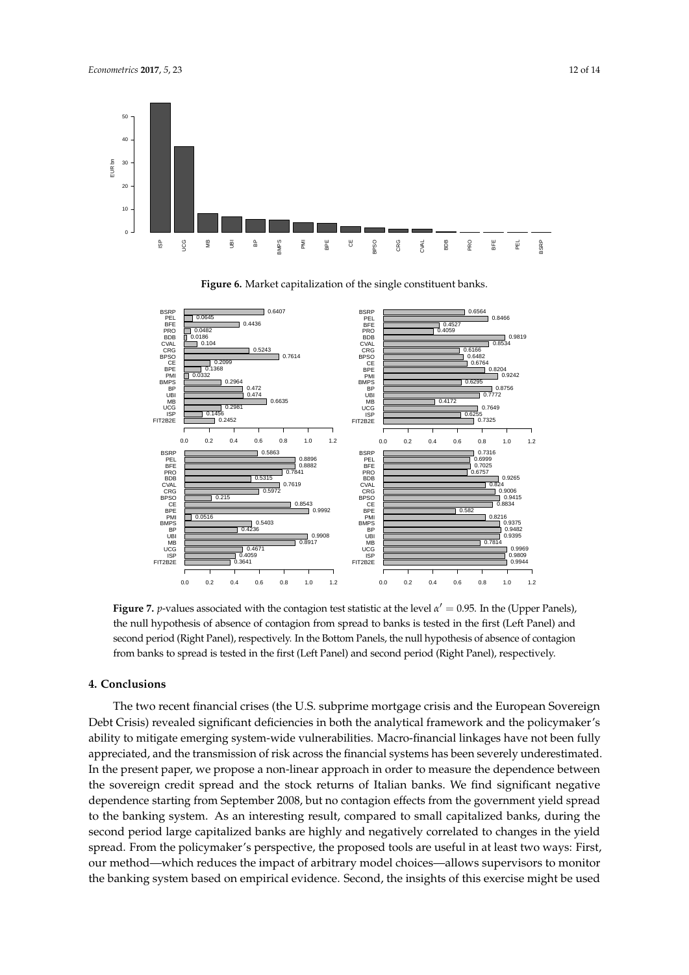<span id="page-11-2"></span>

**Figure 6.** Market capitalization of the single constituent banks.

<span id="page-11-1"></span>

**Figure 7.** *p*-values associated with the contagion test statistic at the level  $\alpha' = 0.95$ . In the (Upper Panels), the null hypothesis of absence of contagion from spread to banks is tested in the first (Left Panel) and second period (Right Panel), respectively. In the Bottom Panels, the null hypothesis of absence of contagion from banks to spread is tested in the first (Left Panel) and second period (Right Panel), respectively.

### <span id="page-11-0"></span>**4. Conclusions**

The two recent financial crises (the U.S. subprime mortgage crisis and the European Sovereign Debt Crisis) revealed significant deficiencies in both the analytical framework and the policymaker's ability to mitigate emerging system-wide vulnerabilities. Macro-financial linkages have not been fully appreciated, and the transmission of risk across the financial systems has been severely underestimated. In the present paper, we propose a non-linear approach in order to measure the dependence between the sovereign credit spread and the stock returns of Italian banks. We find significant negative dependence starting from September 2008, but no contagion effects from the government yield spread to the banking system. As an interesting result, compared to small capitalized banks, during the second period large capitalized banks are highly and negatively correlated to changes in the yield spread. From the policymaker's perspective, the proposed tools are useful in at least two ways: First, our method—which reduces the impact of arbitrary model choices—allows supervisors to monitor the banking system based on empirical evidence. Second, the insights of this exercise might be used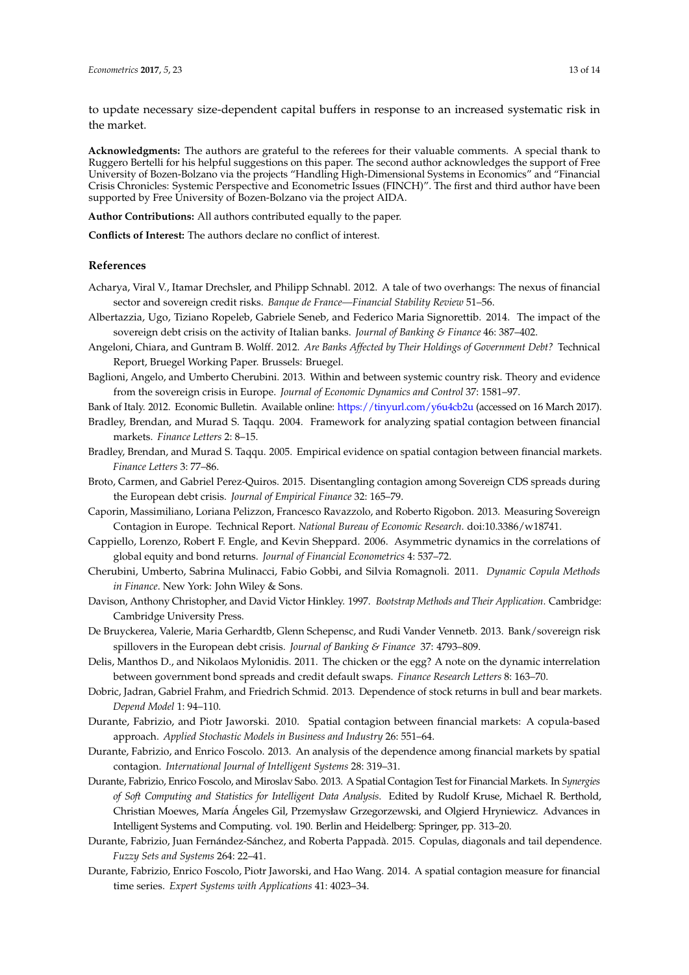to update necessary size-dependent capital buffers in response to an increased systematic risk in the market.

**Acknowledgments:** The authors are grateful to the referees for their valuable comments. A special thank to Ruggero Bertelli for his helpful suggestions on this paper. The second author acknowledges the support of Free University of Bozen-Bolzano via the projects "Handling High-Dimensional Systems in Economics" and "Financial Crisis Chronicles: Systemic Perspective and Econometric Issues (FINCH)". The first and third author have been supported by Free University of Bozen-Bolzano via the project AIDA.

**Author Contributions:** All authors contributed equally to the paper.

**Conflicts of Interest:** The authors declare no conflict of interest.

#### **References**

- <span id="page-12-0"></span>Acharya, Viral V., Itamar Drechsler, and Philipp Schnabl. 2012. A tale of two overhangs: The nexus of financial sector and sovereign credit risks. *Banque de France—Financial Stability Review* 51–56.
- <span id="page-12-4"></span>Albertazzia, Ugo, Tiziano Ropeleb, Gabriele Seneb, and Federico Maria Signorettib. 2014. The impact of the sovereign debt crisis on the activity of Italian banks. *Journal of Banking & Finance* 46: 387–402.
- <span id="page-12-2"></span>Angeloni, Chiara, and Guntram B. Wolff. 2012. *Are Banks Affected by Their Holdings of Government Debt?* Technical Report, Bruegel Working Paper. Brussels: Bruegel.
- <span id="page-12-5"></span>Baglioni, Angelo, and Umberto Cherubini. 2013. Within and between systemic country risk. Theory and evidence from the sovereign crisis in Europe. *Journal of Economic Dynamics and Control* 37: 1581–97.
- <span id="page-12-1"></span>Bank of Italy. 2012. Economic Bulletin. Available online: <https://tinyurl.com/y6u4cb2u> (accessed on 16 March 2017).
- <span id="page-12-7"></span>Bradley, Brendan, and Murad S. Taqqu. 2004. Framework for analyzing spatial contagion between financial markets. *Finance Letters* 2: 8–15.
- <span id="page-12-8"></span>Bradley, Brendan, and Murad S. Taqqu. 2005. Empirical evidence on spatial contagion between financial markets. *Finance Letters* 3: 77–86.
- <span id="page-12-19"></span>Broto, Carmen, and Gabriel Perez-Quiros. 2015. Disentangling contagion among Sovereign CDS spreads during the European debt crisis. *Journal of Empirical Finance* 32: 165–79.
- <span id="page-12-18"></span>Caporin, Massimiliano, Loriana Pelizzon, Francesco Ravazzolo, and Roberto Rigobon. 2013. Measuring Sovereign Contagion in Europe. Technical Report. *National Bureau of Economic Research*. doi:10.3386/w18741.
- <span id="page-12-15"></span>Cappiello, Lorenzo, Robert F. Engle, and Kevin Sheppard. 2006. Asymmetric dynamics in the correlations of global equity and bond returns. *Journal of Financial Econometrics* 4: 537–72.
- <span id="page-12-12"></span>Cherubini, Umberto, Sabrina Mulinacci, Fabio Gobbi, and Silvia Romagnoli. 2011. *Dynamic Copula Methods in Finance*. New York: John Wiley & Sons.
- <span id="page-12-16"></span>Davison, Anthony Christopher, and David Victor Hinkley. 1997. *Bootstrap Methods and Their Application*. Cambridge: Cambridge University Press.
- <span id="page-12-3"></span>De Bruyckerea, Valerie, Maria Gerhardtb, Glenn Schepensc, and Rudi Vander Vennetb. 2013. Bank/sovereign risk spillovers in the European debt crisis. *Journal of Banking & Finance* 37: 4793–809.
- <span id="page-12-6"></span>Delis, Manthos D., and Nikolaos Mylonidis. 2011. The chicken or the egg? A note on the dynamic interrelation between government bond spreads and credit default swaps. *Finance Research Letters* 8: 163–70.
- <span id="page-12-13"></span>Dobric, Jadran, Gabriel Frahm, and Friedrich Schmid. 2013. Dependence of stock returns in bull and bear markets. *Depend Model* 1: 94–110.
- <span id="page-12-9"></span>Durante, Fabrizio, and Piotr Jaworski. 2010. Spatial contagion between financial markets: A copula-based approach. *Applied Stochastic Models in Business and Industry* 26: 551–64.
- <span id="page-12-10"></span>Durante, Fabrizio, and Enrico Foscolo. 2013. An analysis of the dependence among financial markets by spatial contagion. *International Journal of Intelligent Systems* 28: 319–31.
- <span id="page-12-11"></span>Durante, Fabrizio, Enrico Foscolo, and Miroslav Sabo. 2013. A Spatial Contagion Test for Financial Markets. In *Synergies of Soft Computing and Statistics for Intelligent Data Analysis*. Edited by Rudolf Kruse, Michael R. Berthold, Christian Moewes, María Ángeles Gil, Przemysław Grzegorzewski, and Olgierd Hryniewicz. Advances in Intelligent Systems and Computing. vol. 190. Berlin and Heidelberg: Springer, pp. 313–20.
- <span id="page-12-17"></span>Durante, Fabrizio, Juan Fernández-Sánchez, and Roberta Pappadà. 2015. Copulas, diagonals and tail dependence. *Fuzzy Sets and Systems* 264: 22–41.
- <span id="page-12-14"></span>Durante, Fabrizio, Enrico Foscolo, Piotr Jaworski, and Hao Wang. 2014. A spatial contagion measure for financial time series. *Expert Systems with Applications* 41: 4023–34.